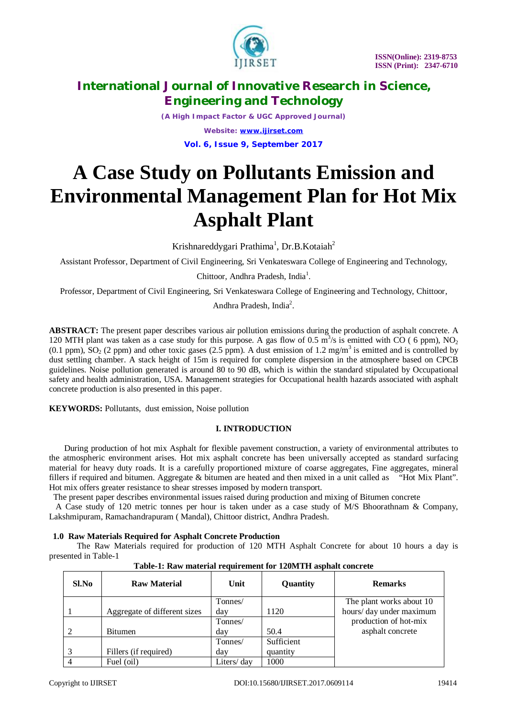

*(A High Impact Factor & UGC Approved Journal) Website: [www.ijirset.com](http://www.ijirset.com)* **Vol. 6, Issue 9, September 2017**

# **A Case Study on Pollutants Emission and Environmental Management Plan for Hot Mix Asphalt Plant**

Krishnareddygari Prathima<sup>1</sup>, Dr.B.Kotaiah<sup>2</sup>

Assistant Professor, Department of Civil Engineering, Sri Venkateswara College of Engineering and Technology,

Chittoor, Andhra Pradesh, India<sup>1</sup>.

Professor, Department of Civil Engineering, Sri Venkateswara College of Engineering and Technology, Chittoor,

Andhra Pradesh, India<sup>2</sup>.

**ABSTRACT:** The present paper describes various air pollution emissions during the production of asphalt concrete. A 120 MTH plant was taken as a case study for this purpose. A gas flow of 0.5  $\mathrm{m}^3/\mathrm{s}$  is emitted with CO (6 ppm), NO<sub>2</sub> (0.1 ppm),  $SO_2$  (2 ppm) and other toxic gases (2.5 ppm). A dust emission of 1.2 mg/m<sup>3</sup> is emitted and is controlled by dust settling chamber. A stack height of 15m is required for complete dispersion in the atmosphere based on CPCB guidelines. Noise pollution generated is around 80 to 90 dB, which is within the standard stipulated by Occupational safety and health administration, USA. Management strategies for Occupational health hazards associated with asphalt concrete production is also presented in this paper.

**KEYWORDS:** Pollutants, dust emission, Noise pollution

# **I. INTRODUCTION**

 During production of hot mix Asphalt for flexible pavement construction, a variety of environmental attributes to the atmospheric environment arises. Hot mix asphalt concrete has been universally accepted as standard surfacing material for heavy duty roads. It is a carefully proportioned mixture of coarse aggregates, Fine aggregates, mineral fillers if required and bitumen. Aggregate & bitumen are heated and then mixed in a unit called as "Hot Mix Plant". Hot mix offers greater resistance to shear stresses imposed by modern transport.

The present paper describes environmental issues raised during production and mixing of Bitumen concrete

 A Case study of 120 metric tonnes per hour is taken under as a case study of M/S Bhoorathnam & Company, Lakshmipuram, Ramachandrapuram ( Mandal), Chittoor district, Andhra Pradesh.

### **1.0 Raw Materials Required for Asphalt Concrete Production**

The Raw Materials required for production of 120 MTH Asphalt Concrete for about 10 hours a day is presented in Table-1

| Sl.No | <b>Raw Material</b>          | Unit       | Quantity   | <b>Remarks</b>           |
|-------|------------------------------|------------|------------|--------------------------|
|       |                              | Tonnes/    |            | The plant works about 10 |
|       | Aggregate of different sizes | day        | 1120       | hours/day under maximum  |
|       |                              | Tonnes/    |            | production of hot-mix    |
|       | Bitumen                      | day        | 50.4       | asphalt concrete         |
|       |                              | Tonnes/    | Sufficient |                          |
|       | Fillers (if required)        | day        | quantity   |                          |
|       | Fuel (oil)                   | Liters/day | 1000       |                          |

### **Table-1: Raw material requirement for 120MTH asphalt concrete**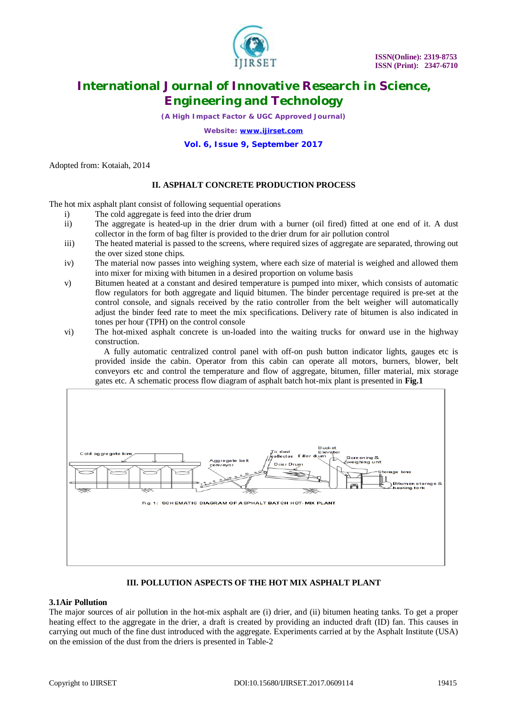

*(A High Impact Factor & UGC Approved Journal)*

*Website: [www.ijirset.com](http://www.ijirset.com)*

### **Vol. 6, Issue 9, September 2017**

Adopted from: Kotaiah, 2014

### **II. ASPHALT CONCRETE PRODUCTION PROCESS**

The hot mix asphalt plant consist of following sequential operations

- i) The cold aggregate is feed into the drier drum
- ii) The aggregate is heated-up in the drier drum with a burner (oil fired) fitted at one end of it. A dust collector in the form of bag filter is provided to the drier drum for air pollution control
- iii) The heated material is passed to the screens, where required sizes of aggregate are separated, throwing out the over sized stone chips.
- iv) The material now passes into weighing system, where each size of material is weighed and allowed them into mixer for mixing with bitumen in a desired proportion on volume basis
- v) Bitumen heated at a constant and desired temperature is pumped into mixer, which consists of automatic flow regulators for both aggregate and liquid bitumen. The binder percentage required is pre-set at the control console, and signals received by the ratio controller from the belt weigher will automatically adjust the binder feed rate to meet the mix specifications. Delivery rate of bitumen is also indicated in tones per hour (TPH) on the control console
- vi) The hot-mixed asphalt concrete is un-loaded into the waiting trucks for onward use in the highway construction.

 A fully automatic centralized control panel with off-on push button indicator lights, gauges etc is provided inside the cabin. Operator from this cabin can operate all motors, burners, blower, belt conveyors etc and control the temperature and flow of aggregate, bitumen, filler material, mix storage gates etc. A schematic process flow diagram of asphalt batch hot-mix plant is presented in **Fig.1**



### **III. POLLUTION ASPECTS OF THE HOT MIX ASPHALT PLANT**

### **3.1Air Pollution**

The major sources of air pollution in the hot-mix asphalt are (i) drier, and (ii) bitumen heating tanks. To get a proper heating effect to the aggregate in the drier, a draft is created by providing an inducted draft (ID) fan. This causes in carrying out much of the fine dust introduced with the aggregate. Experiments carried at by the Asphalt Institute (USA) on the emission of the dust from the driers is presented in Table-2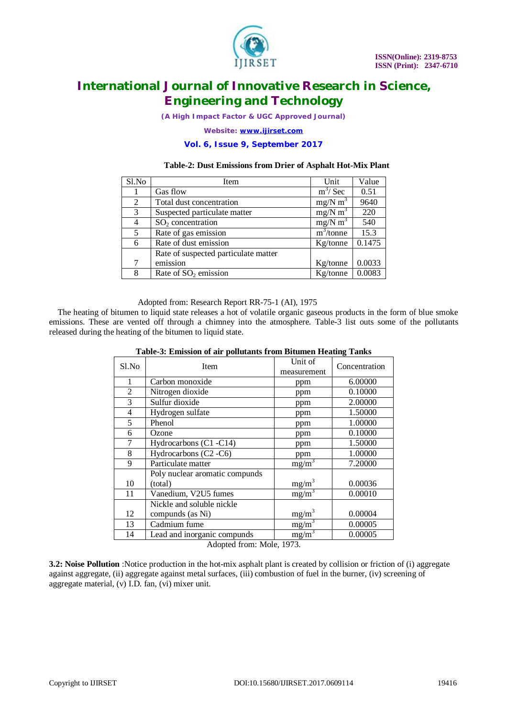

*(A High Impact Factor & UGC Approved Journal)*

*Website: [www.ijirset.com](http://www.ijirset.com)*

### **Vol. 6, Issue 9, September 2017**

### **Table-2: Dust Emissions from Drier of Asphalt Hot-Mix Plant**

| Sl.No | Item                                 | Unit                  | Value  |
|-------|--------------------------------------|-----------------------|--------|
|       | Gas flow                             | $m^3$ / Sec           | 0.51   |
| 2     | Total dust concentration             | $mg/N$ m <sup>3</sup> | 9640   |
| 3     | Suspected particulate matter         | $mg/N \, m^3$         | 220    |
| 4     | $SO2$ concentration                  | $mg/N$ m <sup>3</sup> | 540    |
| 5     | Rate of gas emission                 | $m^3$ /tonne          | 15.3   |
| 6     | Rate of dust emission                | Kg/tonne              | 0.1475 |
|       | Rate of suspected particulate matter |                       |        |
| 7     | emission                             | Kg/tonne              | 0.0033 |
| 8     | Rate of $SO2$ emission               | Kg/tonne              | 0.0083 |

#### Adopted from: Research Report RR-75-1 (AI), 1975

 The heating of bitumen to liquid state releases a hot of volatile organic gaseous products in the form of blue smoke emissions. These are vented off through a chimney into the atmosphere. Table-3 list outs some of the pollutants released during the heating of the bitumen to liquid state.

| Sl.No          | Item                           | Unit of             | Concentration |
|----------------|--------------------------------|---------------------|---------------|
|                |                                | measurement         |               |
| 1              | Carbon monoxide                | ppm                 | 6.00000       |
| $\overline{2}$ | Nitrogen dioxide               | ppm                 | 0.10000       |
| 3              | Sulfur dioxide                 | ppm                 | 2.00000       |
| 4              | Hydrogen sulfate               | ppm                 | 1.50000       |
| 5              | Phenol                         | ppm                 | 1.00000       |
| 6              | Ozone                          | ppm                 | 0.10000       |
| 7              | Hydrocarbons (C1 -C14)         | ppm                 | 1.50000       |
| 8              | Hydrocarbons (C2 -C6)          | ppm                 | 1.00000       |
| 9              | Particulate matter             | $mg/m^3$            | 7.20000       |
|                | Poly nuclear aromatic compunds |                     |               |
| 10             | (total)                        | $mg/m^3$            | 0.00036       |
| 11             | Vanedium, V2U5 fumes           | $mg/m^3$            | 0.00010       |
|                | Nickle and soluble nickle      |                     |               |
| 12             | compunds (as Ni)               | $mg/m^3$            | 0.00004       |
| 13             | Cadmium fume                   | $mg/m^3$            | 0.00005       |
| 14             | Lead and inorganic compunds    | $mg/\overline{m}^3$ | 0.00005       |

## **Table-3: Emission of air pollutants from Bitumen Heating Tanks**

Adopted from: Mole, 1973.

**3.2: Noise Pollution** :Notice production in the hot-mix asphalt plant is created by collision or friction of (i) aggregate against aggregate, (ii) aggregate against metal surfaces, (iii) combustion of fuel in the burner, (iv) screening of aggregate material, (v) I.D. fan, (vi) mixer unit.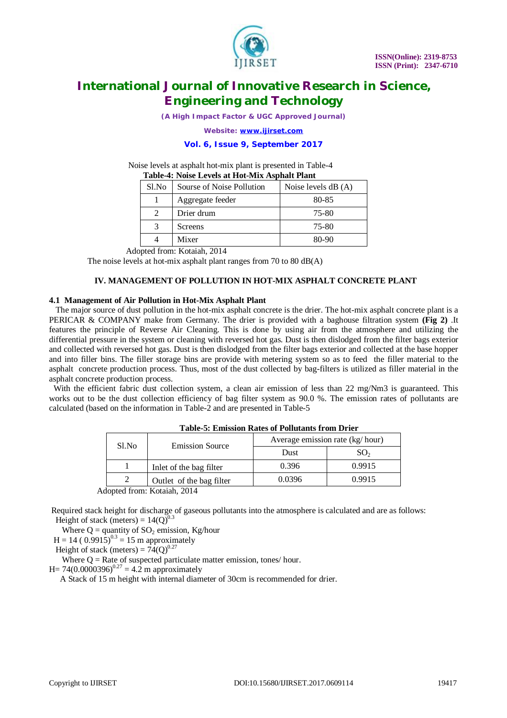

*(A High Impact Factor & UGC Approved Journal)*

*Website: [www.ijirset.com](http://www.ijirset.com)*

### **Vol. 6, Issue 9, September 2017**

Noise levels at asphalt hot-mix plant is presented in Table-4<br>
Table 4. Noise I and a H of Mix Ambelt Plant *<u><b>Table-4: Noise Asphalt Plant</u>*</u>

| Table-4: Noise Levels at Hot-Mix Asphalt Plant |                           |                      |  |
|------------------------------------------------|---------------------------|----------------------|--|
| Sl.No                                          | Sourse of Noise Pollution | Noise levels $dB(A)$ |  |
|                                                | Aggregate feeder          | 80-85                |  |
| $\mathcal{D}_{\mathcal{L}}$                    | Drier drum                | 75-80                |  |
| 3                                              | Screens                   | 75-80                |  |
|                                                | Mixer                     | 80-90                |  |

Adopted from: Kotaiah, 2014

The noise levels at hot-mix asphalt plant ranges from 70 to 80 dB(A)

### **IV. MANAGEMENT OF POLLUTION IN HOT-MIX ASPHALT CONCRETE PLANT**

#### **4.1 Management of Air Pollution in Hot-Mix Asphalt Plant**

 The major source of dust pollution in the hot-mix asphalt concrete is the drier. The hot-mix asphalt concrete plant is a PERICAR & COMPANY make from Germany. The drier is provided with a baghouse filtration system **(Fig 2)** .It features the principle of Reverse Air Cleaning. This is done by using air from the atmosphere and utilizing the differential pressure in the system or cleaning with reversed hot gas. Dust is then dislodged from the filter bags exterior and collected with reversed hot gas. Dust is then dislodged from the filter bags exterior and collected at the base hopper and into filler bins. The filler storage bins are provide with metering system so as to feed the filler material to the asphalt concrete production process. Thus, most of the dust collected by bag-filters is utilized as filler material in the asphalt concrete production process.

With the efficient fabric dust collection system, a clean air emission of less than 22 mg/Nm3 is guaranteed. This works out to be the dust collection efficiency of bag filter system as 90.0 %. The emission rates of pollutants are calculated (based on the information in Table-2 and are presented in Table-5

| Sl.No                       | <b>Emission Source</b>   | Average emission rate (kg/hour) |                 |
|-----------------------------|--------------------------|---------------------------------|-----------------|
|                             |                          | Dust                            | SO <sub>2</sub> |
|                             | Inlet of the bag filter  | 0.396                           | 0.9915          |
|                             | Outlet of the bag filter | 0.0396                          | 0.9915          |
| Adonted from: Kotaiah, 2014 |                          |                                 |                 |

#### **Table-5: Emission Rates of Pollutants from Drier**

Adopted from: Kotaiah, 2014

Required stack height for discharge of gaseous pollutants into the atmosphere is calculated and are as follows: Height of stack (meters) =  $14(Q)^{0.3}$ 

Where  $Q =$  quantity of  $SO_2$  emission, Kg/hour

 $H = 14 (0.9915)^{0.3} = 15$  m approximately

Height of stack (meters) =  $74(O)^{0.27}$ 

Where  $Q =$  Rate of suspected particulate matter emission, tones/hour.

H= 74(0.0000396)<sup>0.27</sup> = 4.2 m approximately

A Stack of 15 m height with internal diameter of 30cm is recommended for drier.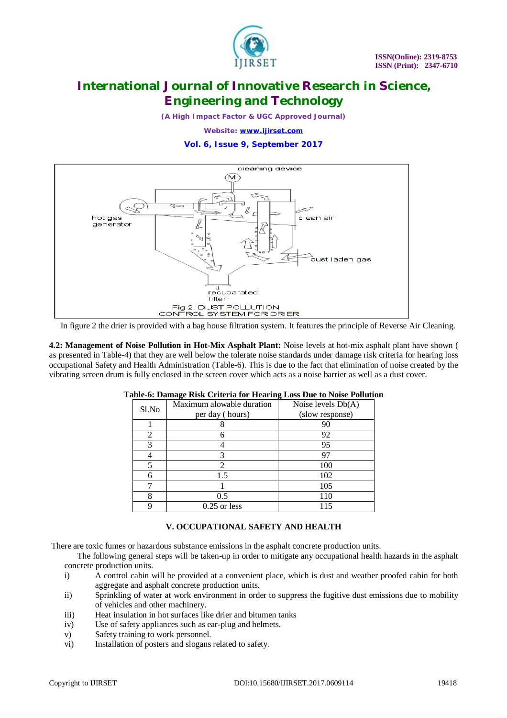

*(A High Impact Factor & UGC Approved Journal)*

*Website: [www.ijirset.com](http://www.ijirset.com)*

### **Vol. 6, Issue 9, September 2017**



In figure 2 the drier is provided with a bag house filtration system. It features the principle of Reverse Air Cleaning.

**4.2: Management of Noise Pollution in Hot-Mix Asphalt Plant:** Noise levels at hot-mix asphalt plant have shown ( as presented in Table-4) that they are well below the tolerate noise standards under damage risk criteria for hearing loss occupational Safety and Health Administration (Table-6). This is due to the fact that elimination of noise created by the vibrating screen drum is fully enclosed in the screen cover which acts as a noise barrier as well as a dust cover.

| Sl.No | Maximum alowable duration | Noise levels Db(A) |  |
|-------|---------------------------|--------------------|--|
|       | per day (hours)           | (slow response)    |  |
|       |                           | 90                 |  |
| 2     |                           | 92                 |  |
|       |                           | 95                 |  |
|       | 3                         | 97                 |  |
|       |                           | 100                |  |
|       | 1.5                       | 102                |  |
|       |                           | 105                |  |
|       | 0.5                       |                    |  |
|       | $0.25$ or less            | 115                |  |

#### **Table-6: Damage Risk Criteria for Hearing Loss Due to Noise Pollution**

### **V. OCCUPATIONAL SAFETY AND HEALTH**

There are toxic fumes or hazardous substance emissions in the asphalt concrete production units.

 The following general steps will be taken-up in order to mitigate any occupational health hazards in the asphalt concrete production units.

- i) A control cabin will be provided at a convenient place, which is dust and weather proofed cabin for both aggregate and asphalt concrete production units.
- ii) Sprinkling of water at work environment in order to suppress the fugitive dust emissions due to mobility of vehicles and other machinery.
- iii) Heat insulation in hot surfaces like drier and bitumen tanks
- iv) Use of safety appliances such as ear-plug and helmets.
- v) Safety training to work personnel.
- vi) Installation of posters and slogans related to safety.